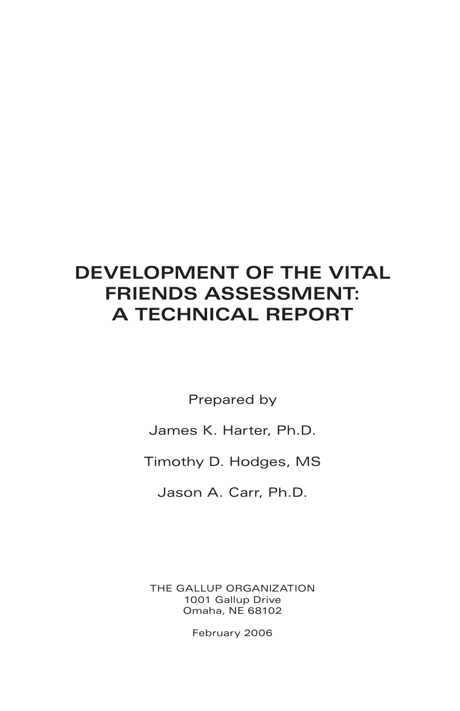# **DEVELOPMENT OF THE VITAL FRIENDS ASSESSMENT: A TECHNICAL REPORT**

Prepared by

James K. Harter, Ph.D.

Timothy D. Hodges, MS

Jason A. Carr, Ph.D.

THE GALLUP ORGANIZATION 1001 Gallup Drive Omaha, NE 68102

February 2006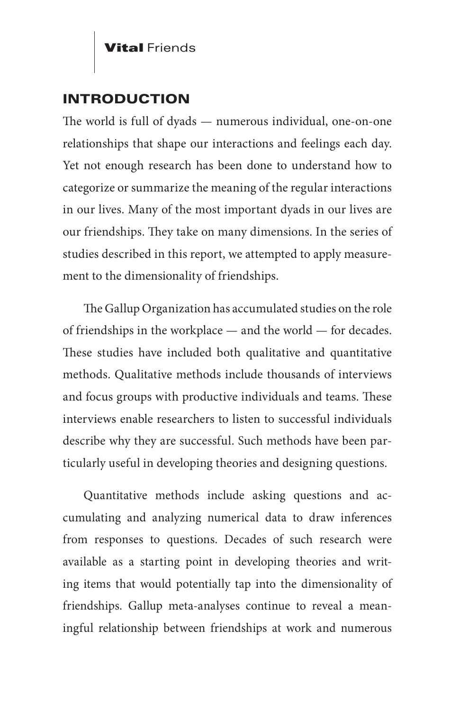#### INTRODUCTION

The world is full of dyads — numerous individual, one-on-one relationships that shape our interactions and feelings each day. Yet not enough research has been done to understand how to categorize or summarize the meaning of the regular interactions in our lives. Many of the most important dyads in our lives are our friendships. They take on many dimensions. In the series of studies described in this report, we attempted to apply measurement to the dimensionality of friendships.

The Gallup Organization has accumulated studies on the role of friendships in the workplace — and the world — for decades. These studies have included both qualitative and quantitative methods. Qualitative methods include thousands of interviews and focus groups with productive individuals and teams. These interviews enable researchers to listen to successful individuals describe why they are successful. Such methods have been particularly useful in developing theories and designing questions.

Quantitative methods include asking questions and accumulating and analyzing numerical data to draw inferences from responses to questions. Decades of such research were available as a starting point in developing theories and writing items that would potentially tap into the dimensionality of friendships. Gallup meta-analyses continue to reveal a meaningful relationship between friendships at work and numerous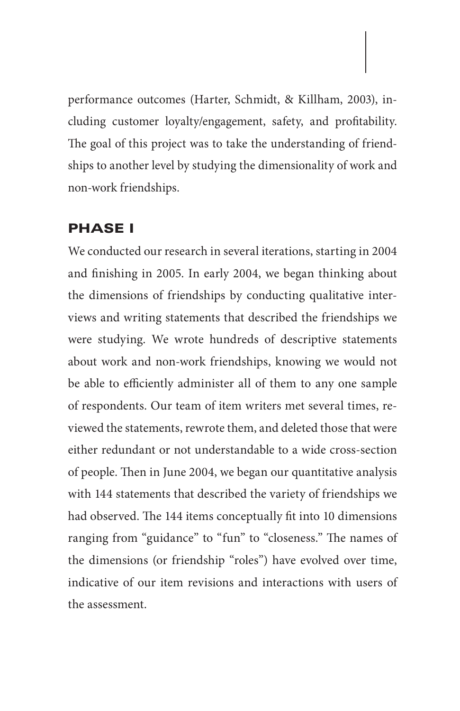performance outcomes (Harter, Schmidt, & Killham, 2003), including customer loyalty/engagement, safety, and profitability. The goal of this project was to take the understanding of friendships to another level by studying the dimensionality of work and non-work friendships.

#### PHASE I

We conducted our research in several iterations, starting in 2004 and finishing in 2005. In early 2004, we began thinking about the dimensions of friendships by conducting qualitative interviews and writing statements that described the friendships we were studying. We wrote hundreds of descriptive statements about work and non-work friendships, knowing we would not be able to efficiently administer all of them to any one sample of respondents. Our team of item writers met several times, reviewed the statements, rewrote them, and deleted those that were either redundant or not understandable to a wide cross-section of people. Then in June 2004, we began our quantitative analysis with 144 statements that described the variety of friendships we had observed. The 144 items conceptually fit into 10 dimensions ranging from "guidance" to "fun" to "closeness." The names of the dimensions (or friendship "roles") have evolved over time, indicative of our item revisions and interactions with users of the assessment.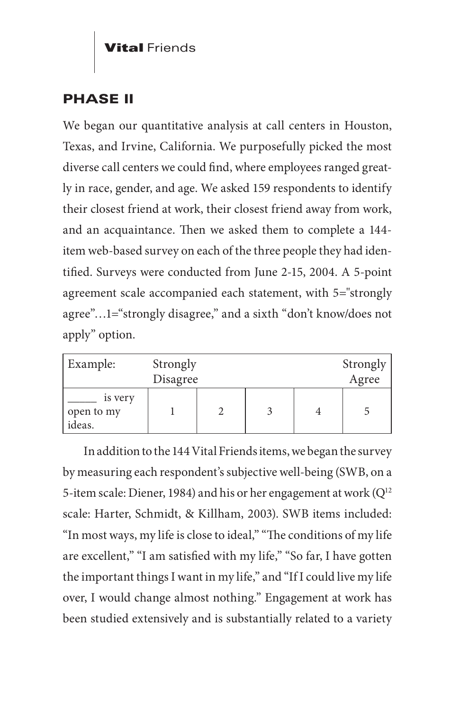# PHASE II

We began our quantitative analysis at call centers in Houston, Texas, and Irvine, California. We purposefully picked the most diverse call centers we could find, where employees ranged greatly in race, gender, and age. We asked 159 respondents to identify their closest friend at work, their closest friend away from work, and an acquaintance. Then we asked them to complete a 144 item web-based survey on each of the three people they had identified. Surveys were conducted from June 2-15, 2004. A 5-point agreement scale accompanied each statement, with 5="strongly agree"…1="strongly disagree," and a sixth "don't know/does not apply" option.

| Example:                        | Strongly |  |  |  | Strongly |
|---------------------------------|----------|--|--|--|----------|
|                                 | Disagree |  |  |  | Agree    |
| is very<br>open to my<br>ideas. |          |  |  |  |          |

In addition to the 144 Vital Friends items, we began the survey by measuring each respondent's subjective well-being (SWB, on a 5-item scale: Diener, 1984) and his or her engagement at work  $(Q^{12})$ scale: Harter, Schmidt, & Killham, 2003). SWB items included: "In most ways, my life is close to ideal," "The conditions of my life are excellent," "I am satisfied with my life," "So far, I have gotten the important things I want in my life," and "If I could live my life over, I would change almost nothing." Engagement at work has been studied extensively and is substantially related to a variety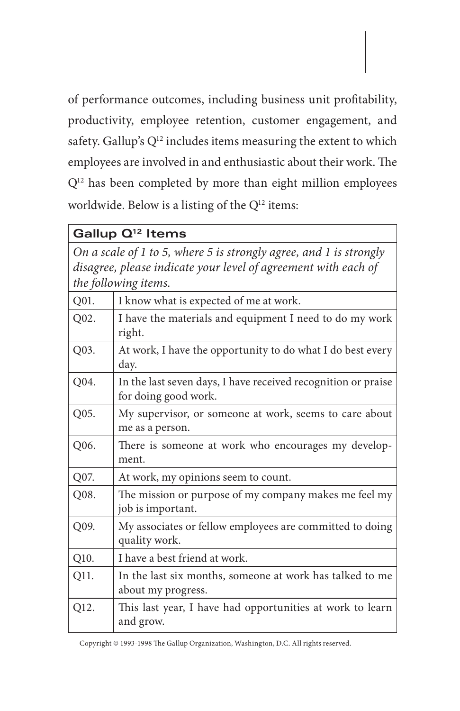of performance outcomes, including business unit profitability, productivity, employee retention, customer engagement, and safety. Gallup's Q<sup>12</sup> includes items measuring the extent to which employees are involved in and enthusiastic about their work. The Q12 has been completed by more than eight million employees worldwide. Below is a listing of the  $Q^{12}$  items:

| Gallup Q <sup>12</sup> Items                                                                                                                                 |                                                                                       |  |  |
|--------------------------------------------------------------------------------------------------------------------------------------------------------------|---------------------------------------------------------------------------------------|--|--|
| On a scale of 1 to 5, where 5 is strongly agree, and 1 is strongly<br>disagree, please indicate your level of agreement with each of<br>the following items. |                                                                                       |  |  |
| Q01.                                                                                                                                                         | I know what is expected of me at work.                                                |  |  |
| Q02.                                                                                                                                                         | I have the materials and equipment I need to do my work<br>right.                     |  |  |
| Q03.                                                                                                                                                         | At work, I have the opportunity to do what I do best every<br>day.                    |  |  |
| Q04.                                                                                                                                                         | In the last seven days, I have received recognition or praise<br>for doing good work. |  |  |
| Q05.                                                                                                                                                         | My supervisor, or someone at work, seems to care about<br>me as a person.             |  |  |
| Q06.                                                                                                                                                         | There is someone at work who encourages my develop-<br>ment.                          |  |  |
| Q07.                                                                                                                                                         | At work, my opinions seem to count.                                                   |  |  |
| Q08.                                                                                                                                                         | The mission or purpose of my company makes me feel my<br>job is important.            |  |  |
| Q09.                                                                                                                                                         | My associates or fellow employees are committed to doing<br>quality work.             |  |  |
| Q10.                                                                                                                                                         | I have a best friend at work.                                                         |  |  |
| Q11.                                                                                                                                                         | In the last six months, someone at work has talked to me<br>about my progress.        |  |  |
| Q12.                                                                                                                                                         | This last year, I have had opportunities at work to learn<br>and grow.                |  |  |

Copyright © 1993-1998 The Gallup Organization, Washington, D.C. All rights reserved.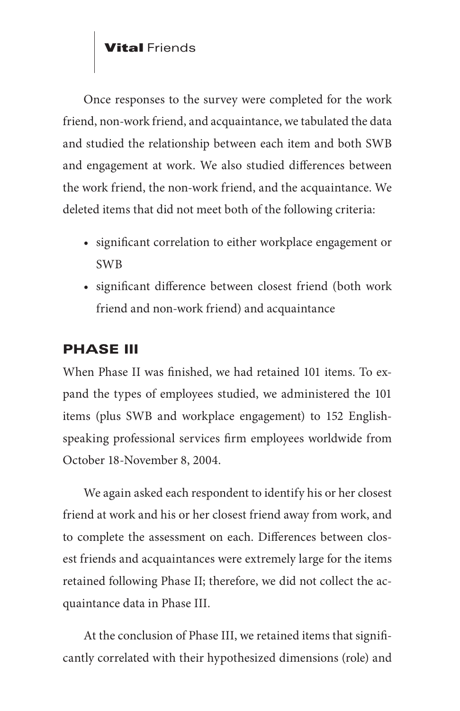Once responses to the survey were completed for the work friend, non-work friend, and acquaintance, we tabulated the data and studied the relationship between each item and both SWB and engagement at work. We also studied differences between the work friend, the non-work friend, and the acquaintance. We deleted items that did not meet both of the following criteria:

- significant correlation to either workplace engagement or SWB
- significant difference between closest friend (both work friend and non-work friend) and acquaintance

## PHASE III

When Phase II was finished, we had retained 101 items. To expand the types of employees studied, we administered the 101 items (plus SWB and workplace engagement) to 152 Englishspeaking professional services firm employees worldwide from October 18-November 8, 2004.

We again asked each respondent to identify his or her closest friend at work and his or her closest friend away from work, and to complete the assessment on each. Differences between closest friends and acquaintances were extremely large for the items retained following Phase II; therefore, we did not collect the acquaintance data in Phase III.

At the conclusion of Phase III, we retained items that significantly correlated with their hypothesized dimensions (role) and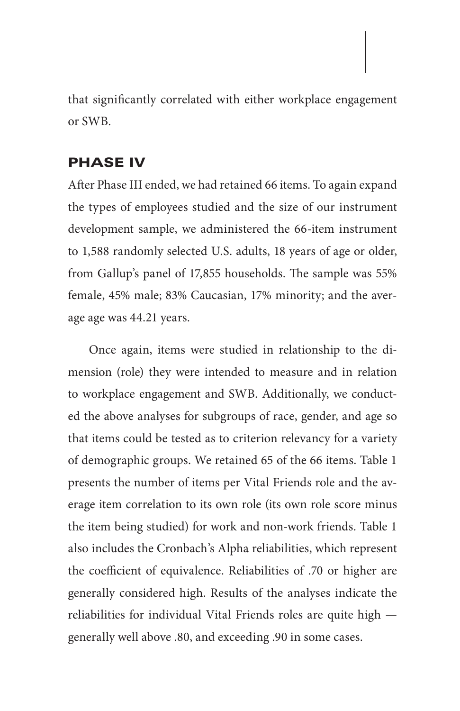that significantly correlated with either workplace engagement or SWB.

#### PHASE IV

After Phase III ended, we had retained 66 items. To again expand the types of employees studied and the size of our instrument development sample, we administered the 66-item instrument to 1,588 randomly selected U.S. adults, 18 years of age or older, from Gallup's panel of 17,855 households. The sample was 55% female, 45% male; 83% Caucasian, 17% minority; and the average age was 44.21 years.

Once again, items were studied in relationship to the dimension (role) they were intended to measure and in relation to workplace engagement and SWB. Additionally, we conducted the above analyses for subgroups of race, gender, and age so that items could be tested as to criterion relevancy for a variety of demographic groups. We retained 65 of the 66 items. Table 1 presents the number of items per Vital Friends role and the average item correlation to its own role (its own role score minus the item being studied) for work and non-work friends. Table 1 also includes the Cronbach's Alpha reliabilities, which represent the coefficient of equivalence. Reliabilities of .70 or higher are generally considered high. Results of the analyses indicate the reliabilities for individual Vital Friends roles are quite high generally well above .80, and exceeding .90 in some cases.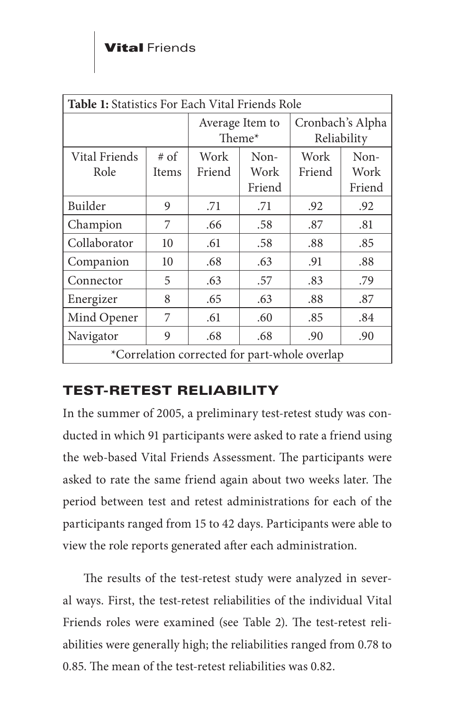| Table 1: Statistics For Each Vital Friends Role |                             |                           |                        |                                 |                        |
|-------------------------------------------------|-----------------------------|---------------------------|------------------------|---------------------------------|------------------------|
|                                                 |                             | Average Item to<br>Theme* |                        | Cronbach's Alpha<br>Reliability |                        |
| Vital Friends<br>Role                           | $# \circ f$<br><b>Items</b> | Work<br>Friend            | Non-<br>Work<br>Friend | Work<br>Friend                  | Non-<br>Work<br>Friend |
| Builder                                         | 9                           | .71                       | .71                    | .92                             | .92                    |
| Champion                                        | 7                           | .66                       | .58                    | .87                             | .81                    |
| Collaborator                                    | 10                          | .61                       | .58                    | .88                             | .85                    |
| Companion                                       | 10                          | .68                       | .63                    | .91                             | .88                    |
| Connector                                       | 5                           | .63                       | .57                    | .83                             | .79                    |
| Energizer                                       | 8                           | .65                       | .63                    | .88                             | .87                    |
| Mind Opener                                     | 7                           | .61                       | .60                    | .85                             | .84                    |
| Navigator                                       | 9                           | .68                       | .68                    | .90                             | .90                    |
| *Correlation corrected for part-whole overlap   |                             |                           |                        |                                 |                        |

# TEST-RETEST RELIABILITY

In the summer of 2005, a preliminary test-retest study was conducted in which 91 participants were asked to rate a friend using the web-based Vital Friends Assessment. The participants were asked to rate the same friend again about two weeks later. The period between test and retest administrations for each of the participants ranged from 15 to 42 days. Participants were able to view the role reports generated after each administration.

The results of the test-retest study were analyzed in several ways. First, the test-retest reliabilities of the individual Vital Friends roles were examined (see Table 2). The test-retest reliabilities were generally high; the reliabilities ranged from 0.78 to 0.85. The mean of the test-retest reliabilities was 0.82.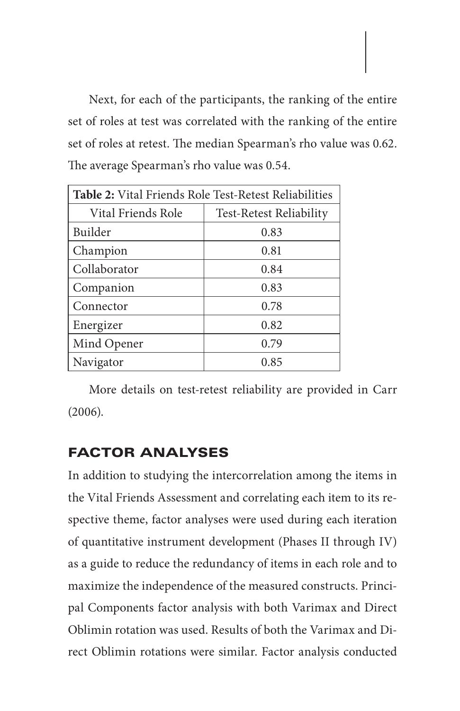Next, for each of the participants, the ranking of the entire set of roles at test was correlated with the ranking of the entire set of roles at retest. The median Spearman's rho value was 0.62. The average Spearman's rho value was 0.54.

| Table 2: Vital Friends Role Test-Retest Reliabilities |                                |  |  |
|-------------------------------------------------------|--------------------------------|--|--|
| Vital Friends Role                                    | <b>Test-Retest Reliability</b> |  |  |
| Builder                                               | 0.83                           |  |  |
| Champion                                              | 0.81                           |  |  |
| Collaborator                                          | 0.84                           |  |  |
| Companion                                             | 0.83                           |  |  |
| Connector                                             | 0.78                           |  |  |
| Energizer                                             | 0.82                           |  |  |
| Mind Opener                                           | 0.79                           |  |  |
| Navigator                                             | 0.85                           |  |  |

More details on test-retest reliability are provided in Carr (2006).

### FACTOR ANALYSES

In addition to studying the intercorrelation among the items in the Vital Friends Assessment and correlating each item to its respective theme, factor analyses were used during each iteration of quantitative instrument development (Phases II through IV) as a guide to reduce the redundancy of items in each role and to maximize the independence of the measured constructs. Principal Components factor analysis with both Varimax and Direct Oblimin rotation was used. Results of both the Varimax and Direct Oblimin rotations were similar. Factor analysis conducted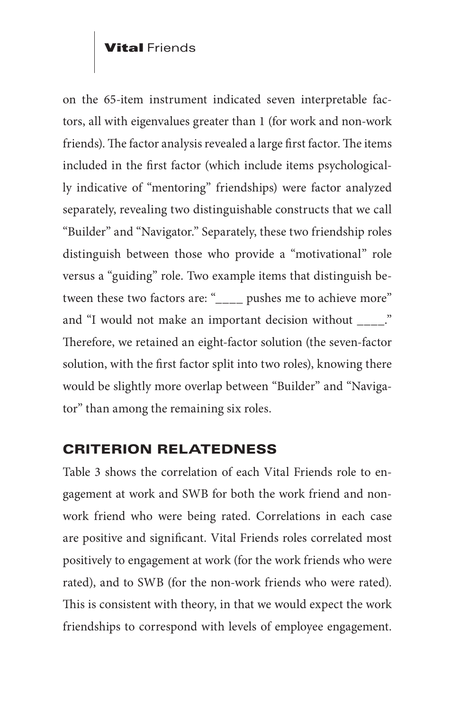on the 65-item instrument indicated seven interpretable factors, all with eigenvalues greater than 1 (for work and non-work friends). The factor analysis revealed a large first factor. The items included in the first factor (which include items psychologically indicative of "mentoring" friendships) were factor analyzed separately, revealing two distinguishable constructs that we call "Builder" and "Navigator." Separately, these two friendship roles distinguish between those who provide a "motivational" role versus a "guiding" role. Two example items that distinguish between these two factors are: "\_\_\_\_ pushes me to achieve more" and "I would not make an important decision without \_\_\_\_." Therefore, we retained an eight-factor solution (the seven-factor solution, with the first factor split into two roles), knowing there would be slightly more overlap between "Builder" and "Navigator" than among the remaining six roles.

### CRITERION RELATEDNESS

Table 3 shows the correlation of each Vital Friends role to engagement at work and SWB for both the work friend and nonwork friend who were being rated. Correlations in each case are positive and significant. Vital Friends roles correlated most positively to engagement at work (for the work friends who were rated), and to SWB (for the non-work friends who were rated). This is consistent with theory, in that we would expect the work friendships to correspond with levels of employee engagement.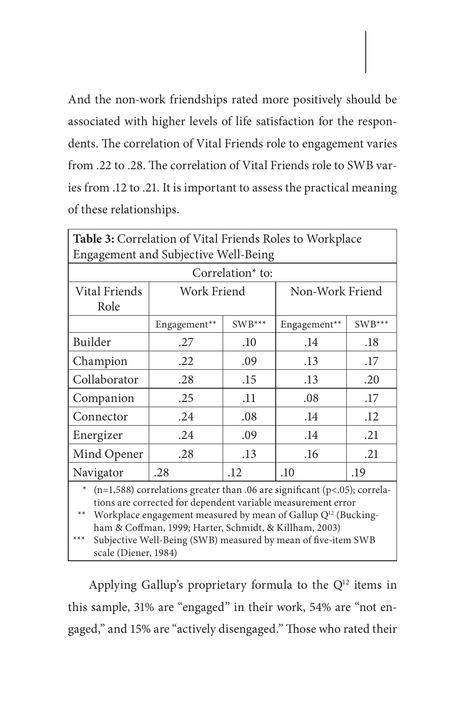And the non-work friendships rated more positively should be associated with higher levels of life satisfaction for the respondents. The correlation of Vital Friends role to engagement varies from .22 to .28. The correlation of Vital Friends role to SWB varies from .12 to .21. It is important to assess the practical meaning of these relationships.

| Table 3: Correlation of Vital Friends Roles to Workplace                                                                                                                                                                           |              |          |                 |        |  |
|------------------------------------------------------------------------------------------------------------------------------------------------------------------------------------------------------------------------------------|--------------|----------|-----------------|--------|--|
| Engagement and Subjective Well-Being                                                                                                                                                                                               |              |          |                 |        |  |
| Correlation <sup>*</sup> to:                                                                                                                                                                                                       |              |          |                 |        |  |
| Vital Friends                                                                                                                                                                                                                      | Work Friend  |          | Non-Work Friend |        |  |
| Role                                                                                                                                                                                                                               |              |          |                 |        |  |
|                                                                                                                                                                                                                                    | Engagement** | $SWB***$ | Engagement**    | SWB*** |  |
| Builder                                                                                                                                                                                                                            | .27          | .10      | .14             | .18    |  |
| Champion                                                                                                                                                                                                                           | .22          | .09      | .13             | .17    |  |
| Collaborator                                                                                                                                                                                                                       | .28          | .15      | .13             | .20    |  |
| Companion                                                                                                                                                                                                                          | .25          | .11      | .08             | .17    |  |
| Connector                                                                                                                                                                                                                          | .24          | .08      | .14             | .12    |  |
| Energizer                                                                                                                                                                                                                          | .24          | .09      | .14             | .21    |  |
| Mind Opener                                                                                                                                                                                                                        | .28          | .13      | .16             | .21    |  |
| Navigator                                                                                                                                                                                                                          | .28          | .12      | .10             | .19    |  |
| * $(n=1,588)$ correlations greater than .06 are significant (p<.05); correla-<br>tions are corrected for dependent variable measurement error<br>$**$<br>Workplace engagement measured by mean of Gallup Q <sup>12</sup> (Bucking- |              |          |                 |        |  |

ham & Coffman, 1999; Harter, Schmidt, & Killham, 2003)

Subjective Well-Being (SWB) measured by mean of five-item SWB scale (Diener, 1984)

Applying Gallup's proprietary formula to the  $Q<sup>12</sup>$  items in this sample, 31% are "engaged" in their work, 54% are "not engaged," and 15% are "actively disengaged." Those who rated their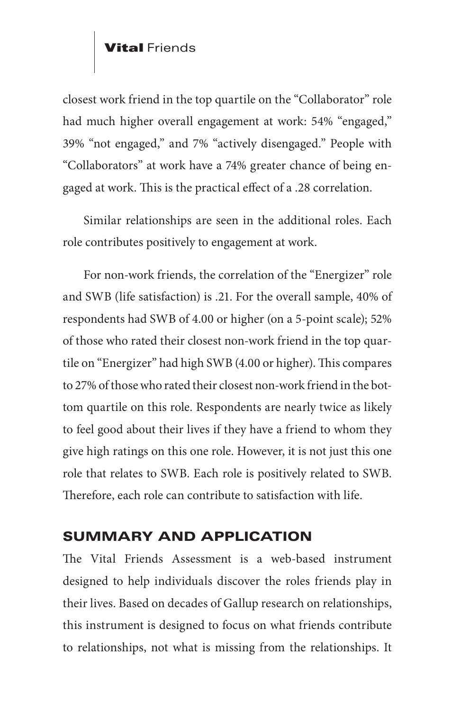closest work friend in the top quartile on the "Collaborator" role had much higher overall engagement at work: 54% "engaged," 39% "not engaged," and 7% "actively disengaged." People with "Collaborators" at work have a 74% greater chance of being engaged at work. This is the practical effect of a .28 correlation.

Similar relationships are seen in the additional roles. Each role contributes positively to engagement at work.

For non-work friends, the correlation of the "Energizer" role and SWB (life satisfaction) is .21. For the overall sample, 40% of respondents had SWB of 4.00 or higher (on a 5-point scale); 52% of those who rated their closest non-work friend in the top quartile on "Energizer" had high SWB (4.00 or higher). This compares to 27% of those who rated their closest non-work friend in the bottom quartile on this role. Respondents are nearly twice as likely to feel good about their lives if they have a friend to whom they give high ratings on this one role. However, it is not just this one role that relates to SWB. Each role is positively related to SWB. Therefore, each role can contribute to satisfaction with life.

### SUMMARY AND APPLICATION

The Vital Friends Assessment is a web-based instrument designed to help individuals discover the roles friends play in their lives. Based on decades of Gallup research on relationships, this instrument is designed to focus on what friends contribute to relationships, not what is missing from the relationships. It